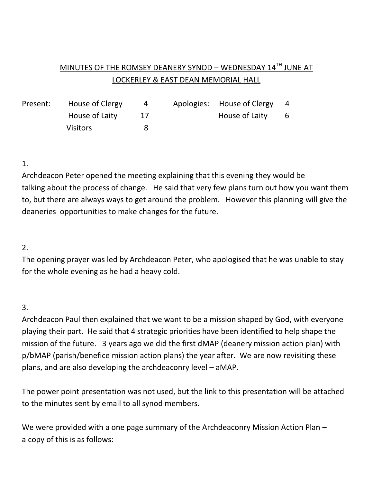# MINUTES OF THE ROMSEY DEANERY SYNOD - WEDNESDAY 14TH JUNE AT LOCKERLEY & EAST DEAN MEMORIAL HALL

|  | Present: House of Clergy | 4 | Apologies: House of Clergy | $\overline{4}$ |
|--|--------------------------|---|----------------------------|----------------|
|  | House of Laity           |   | House of Laity 6           |                |
|  | <b>Visitors</b>          |   |                            |                |

### 1.

Archdeacon Peter opened the meeting explaining that this evening they would be talking about the process of change. He said that very few plans turn out how you want them to, but there are always ways to get around the problem. However this planning will give the deaneries opportunities to make changes for the future.

## 2.

The opening prayer was led by Archdeacon Peter, who apologised that he was unable to stay for the whole evening as he had a heavy cold.

## 3.

Archdeacon Paul then explained that we want to be a mission shaped by God, with everyone playing their part. He said that 4 strategic priorities have been identified to help shape the mission of the future. 3 years ago we did the first dMAP (deanery mission action plan) with p/bMAP (parish/benefice mission action plans) the year after. We are now revisiting these plans, and are also developing the archdeaconry level – aMAP.

The power point presentation was not used, but the link to this presentation will be attached to the minutes sent by email to all synod members.

We were provided with a one page summary of the Archdeaconry Mission Action Plan – a copy of this is as follows: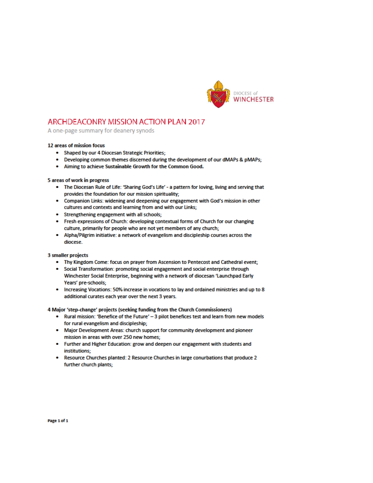

### ARCHDEACONRY MISSION ACTION PLAN 2017

A one-page summary for deanery synods

#### 12 areas of mission focus

- Shaped by our 4 Diocesan Strategic Priorities:
- Developing common themes discerned during the development of our dMAPs & pMAPs;
- . Aiming to achieve Sustainable Growth for the Common Good.

#### 5 areas of work in progress

- . The Diocesan Rule of Life: 'Sharing God's Life' a pattern for loving, living and serving that provides the foundation for our mission spirituality;
- Companion Links: widening and deepening our engagement with God's mission in other cultures and contexts and learning from and with our Links;
- Strengthening engagement with all schools;
- Fresh expressions of Church: developing contextual forms of Church for our changing culture, primarily for people who are not yet members of any church;
- Alpha/Pilgrim initiative: a network of evangelism and discipleship courses across the diocese.

**3 smaller projects** 

- . Thy Kingdom Come: focus on prayer from Ascension to Pentecost and Cathedral event;
- Social Transformation: promoting social engagement and social enterprise through Winchester Social Enterprise, beginning with a network of diocesan 'Launchpad Early Years' pre-schools;
- . Increasing Vocations: 50% increase in vocations to lay and ordained ministries and up to 8 additional curates each year over the next 3 years.

4 Major 'step-change' projects (seeking funding from the Church Commissioners)

- . Rural mission: 'Benefice of the Future' 3 pilot benefices test and learn from new models for rural evangelism and discipleship;
- . Major Development Areas: church support for community development and pioneer mission in areas with over 250 new homes:
- Further and Higher Education: grow and deepen our engagement with students and institutions:
- . Resource Churches planted: 2 Resource Churches in large conurbations that produce 2 further church plants;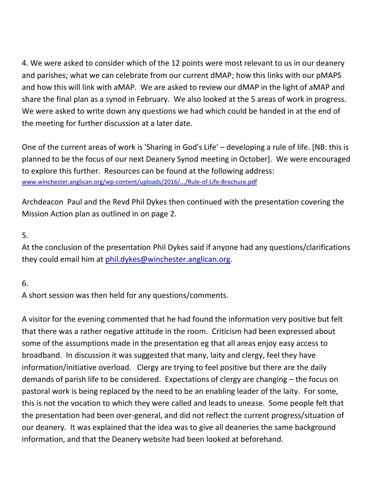4. We were asked to consider which of the 12 points were most relevant to us in our deanery and parishes; what we can celebrate from our current dMAP; how this links with our pMAPS and how this will link with aMAP. We are asked to review our dMAP in the light of aMAP and share the final plan as a synod in February. We also looked at the 5 areas of work in progress. We were asked to write down any questions we had which could be handed in at the end of the meeting for further discussion at a later date.

One of the current areas of work is 'Sharing in God's Life' – developing a rule of life. [NB: this is planned to be the focus of our next Deanery Synod meeting in October]. We were encouraged to explore this further. Resources can be found at the following address: [www.winchester.anglican.org/wp-content/uploads/2016/.../Rule-of-Life-Brochure.pdf](http://www.winchester.anglican.org/wp-content/uploads/2016/.../Rule-of-Life-Brochure.pdf)

Archdeacon Paul and the Revd Phil Dykes then continued with the presentation covering the Mission Action plan as outlined in on page 2.

## 5.

At the conclusion of the presentation Phil Dykes said if anyone had any questions/clarifications they could email him at [phil.dykes@winchester.anglican.org.](mailto:phil.dykes@winchester.anglican.org)

## 6.

A short session was then held for any questions/comments.

A visitor for the evening commented that he had found the information very positive but felt that there was a rather negative attitude in the room. Criticism had been expressed about some of the assumptions made in the presentation eg that all areas enjoy easy access to broadband. In discussion it was suggested that many, laity and clergy, feel they have information/initiative overload. Clergy are trying to feel positive but there are the daily demands of parish life to be considered. Expectations of clergy are changing – the focus on pastoral work is being replaced by the need to be an enabling leader of the laity. For some, this is not the vocation to which they were called and leads to unease. Some people felt that the presentation had been over-general, and did not reflect the current progress/situation of our deanery. It was explained that the idea was to give all deaneries the same background information, and that the Deanery website had been looked at beforehand.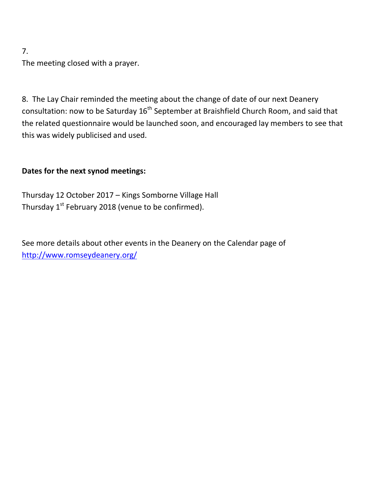### 7.

The meeting closed with a prayer.

8. The Lay Chair reminded the meeting about the change of date of our next Deanery consultation: now to be Saturday 16<sup>th</sup> September at Braishfield Church Room, and said that the related questionnaire would be launched soon, and encouraged lay members to see that this was widely publicised and used.

## **Dates for the next synod meetings:**

Thursday 12 October 2017 – Kings Somborne Village Hall Thursday  $1<sup>st</sup>$  February 2018 (venue to be confirmed).

See more details about other events in the Deanery on the Calendar page of <http://www.romseydeanery.org/>